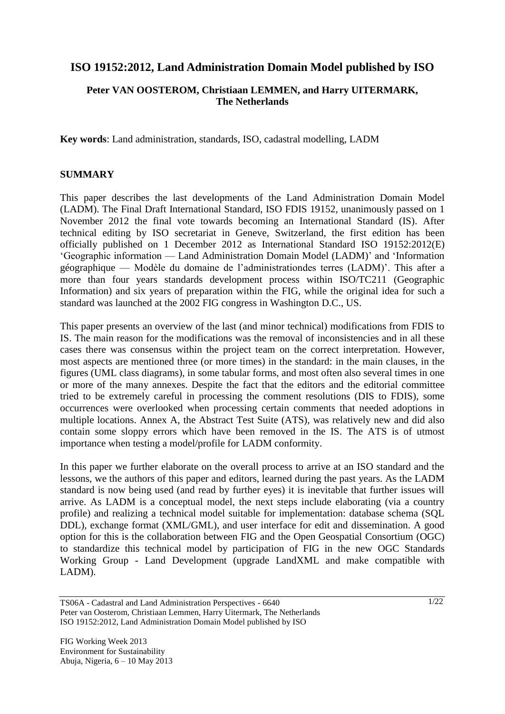# **ISO 19152:2012, Land Administration Domain Model published by ISO**

# **Peter VAN OOSTEROM, Christiaan LEMMEN, and Harry UITERMARK, The Netherlands**

**Key words**: Land administration, standards, ISO, cadastral modelling, LADM

### **SUMMARY**

This paper describes the last developments of the Land Administration Domain Model (LADM). The Final Draft International Standard, ISO FDIS 19152, unanimously passed on 1 November 2012 the final vote towards becoming an International Standard (IS). After technical editing by ISO secretariat in Geneve, Switzerland, the first edition has been officially published on 1 December 2012 as International Standard ISO 19152:2012(E) ‗Geographic information — Land Administration Domain Model (LADM)' and ‗Information géographique — Modèle du domaine de l'administrationdes terres (LADM)'. This after a more than four years standards development process within ISO/TC211 (Geographic Information) and six years of preparation within the FIG, while the original idea for such a standard was launched at the 2002 FIG congress in Washington D.C., US.

This paper presents an overview of the last (and minor technical) modifications from FDIS to IS. The main reason for the modifications was the removal of inconsistencies and in all these cases there was consensus within the project team on the correct interpretation. However, most aspects are mentioned three (or more times) in the standard: in the main clauses, in the figures (UML class diagrams), in some tabular forms, and most often also several times in one or more of the many annexes. Despite the fact that the editors and the editorial committee tried to be extremely careful in processing the comment resolutions (DIS to FDIS), some occurrences were overlooked when processing certain comments that needed adoptions in multiple locations. Annex A, the Abstract Test Suite (ATS), was relatively new and did also contain some sloppy errors which have been removed in the IS. The ATS is of utmost importance when testing a model/profile for LADM conformity.

In this paper we further elaborate on the overall process to arrive at an ISO standard and the lessons, we the authors of this paper and editors, learned during the past years. As the LADM standard is now being used (and read by further eyes) it is inevitable that further issues will arrive. As LADM is a conceptual model, the next steps include elaborating (via a country profile) and realizing a technical model suitable for implementation: database schema (SQL DDL), exchange format (XML/GML), and user interface for edit and dissemination. A good option for this is the collaboration between FIG and the Open Geospatial Consortium (OGC) to standardize this technical model by participation of FIG in the new OGC Standards Working Group - Land Development (upgrade LandXML and make compatible with LADM).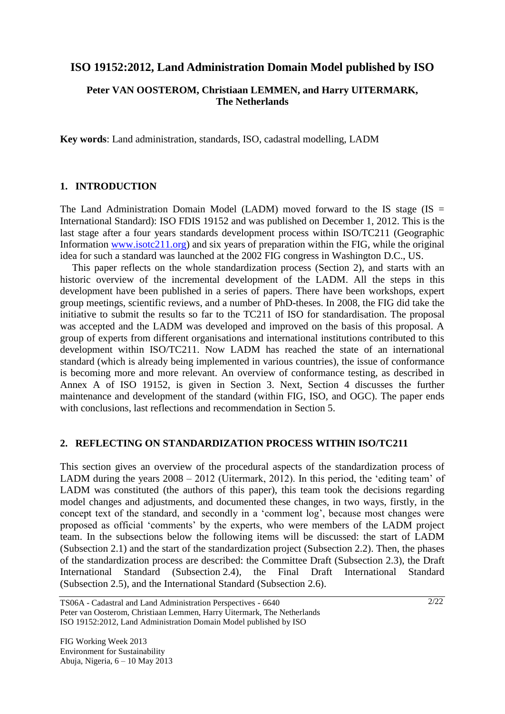# **ISO 19152:2012, Land Administration Domain Model published by ISO**

## **Peter VAN OOSTEROM, Christiaan LEMMEN, and Harry UITERMARK, The Netherlands**

**Key words**: Land administration, standards, ISO, cadastral modelling, LADM

#### **1. INTRODUCTION**

The Land Administration Domain Model (LADM) moved forward to the IS stage (IS  $=$ International Standard): ISO FDIS 19152 and was published on December 1, 2012. This is the last stage after a four years standards development process within ISO/TC211 (Geographic Information [www.isotc211.org\)](http://www.isotc211.org/) and six years of preparation within the FIG, while the original idea for such a standard was launched at the 2002 FIG congress in Washington D.C., US.

This paper reflects on the whole standardization process (Section 2), and starts with an historic overview of the incremental development of the LADM. All the steps in this development have been published in a series of papers. There have been workshops, expert group meetings, scientific reviews, and a number of PhD-theses. In 2008, the FIG did take the initiative to submit the results so far to the TC211 of ISO for standardisation. The proposal was accepted and the LADM was developed and improved on the basis of this proposal. A group of experts from different organisations and international institutions contributed to this development within ISO/TC211. Now LADM has reached the state of an international standard (which is already being implemented in various countries), the issue of conformance is becoming more and more relevant. An overview of conformance testing, as described in Annex A of ISO 19152, is given in Section 3. Next, Section 4 discusses the further maintenance and development of the standard (within FIG, ISO, and OGC). The paper ends with conclusions, last reflections and recommendation in Section 5.

#### **2. REFLECTING ON STANDARDIZATION PROCESS WITHIN ISO/TC211**

This section gives an overview of the procedural aspects of the standardization process of LADM during the years  $2008 - 2012$  (Uitermark, 2012). In this period, the 'editing team' of LADM was constituted (the authors of this paper), this team took the decisions regarding model changes and adjustments, and documented these changes, in two ways, firstly, in the concept text of the standard, and secondly in a 'comment log', because most changes were proposed as official 'comments' by the experts, who were members of the LADM project team. In the subsections below the following items will be discussed: the start of LADM (Subsection 2.1) and the start of the standardization project (Subsection 2.2). Then, the phases of the standardization process are described: the Committee Draft (Subsection 2.3), the Draft International Standard (Subsection 2.4), the Final Draft International Standard (Subsection 2.5), and the International Standard (Subsection 2.6).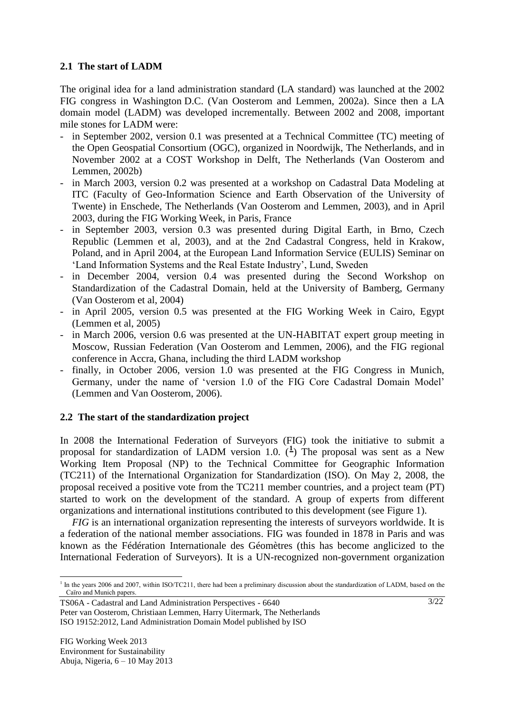## **2.1 The start of LADM**

The original idea for a land administration standard (LA standard) was launched at the 2002 FIG congress in Washington D.C. (Van Oosterom and Lemmen, 2002a). Since then a LA domain model (LADM) was developed incrementally. Between 2002 and 2008, important mile stones for LADM were:

- in September 2002, version 0.1 was presented at a Technical Committee (TC) meeting of the Open Geospatial Consortium (OGC), organized in Noordwijk, The Netherlands, and in November 2002 at a COST Workshop in Delft, The Netherlands (Van Oosterom and Lemmen, 2002b)
- in March 2003, version 0.2 was presented at a workshop on Cadastral Data Modeling at ITC (Faculty of Geo-Information Science and Earth Observation of the University of Twente) in Enschede, The Netherlands (Van Oosterom and Lemmen, 2003), and in April 2003, during the FIG Working Week, in Paris, France
- in September 2003, version 0.3 was presented during Digital Earth, in Brno, Czech Republic (Lemmen et al, 2003), and at the 2nd Cadastral Congress, held in Krakow, Poland, and in April 2004, at the European Land Information Service (EULIS) Seminar on ‗Land Information Systems and the Real Estate Industry', Lund, Sweden
- in December 2004, version 0.4 was presented during the Second Workshop on Standardization of the Cadastral Domain, held at the University of Bamberg, Germany (Van Oosterom et al, 2004)
- in April 2005, version 0.5 was presented at the FIG Working Week in Cairo, Egypt (Lemmen et al, 2005)
- in March 2006, version 0.6 was presented at the UN-HABITAT expert group meeting in Moscow, Russian Federation (Van Oosterom and Lemmen, 2006), and the FIG regional conference in Accra, Ghana, including the third LADM workshop
- finally, in October 2006, version 1.0 was presented at the FIG Congress in Munich, Germany, under the name of 'version 1.0 of the FIG Core Cadastral Domain Model' (Lemmen and Van Oosterom, 2006).

# **2.2 The start of the standardization project**

In 2008 the International Federation of Surveyors (FIG) took the initiative to submit a proposal for standardization of LADM version 1.0.  $(1)$  The proposal was sent as a New Working Item Proposal (NP) to the Technical Committee for Geographic Information (TC211) of the International Organization for Standardization (ISO). On May 2, 2008, the proposal received a positive vote from the TC211 member countries, and a project team (PT) started to work on the development of the standard. A group of experts from different organizations and international institutions contributed to this development (see Figure 1).

*FIG* is an international organization representing the interests of surveyors worldwide. It is a federation of the national member associations. FIG was founded in 1878 in Paris and was known as the Fédération Internationale des Géomètres (this has become anglicized to the International Federation of Surveyors). It is a UN-recognized non-government organization

<sup>&</sup>lt;sup>1</sup> In the years 2006 and 2007, within ISO/TC211, there had been a preliminary discussion about the standardization of LADM, based on the Caïro and Munich papers.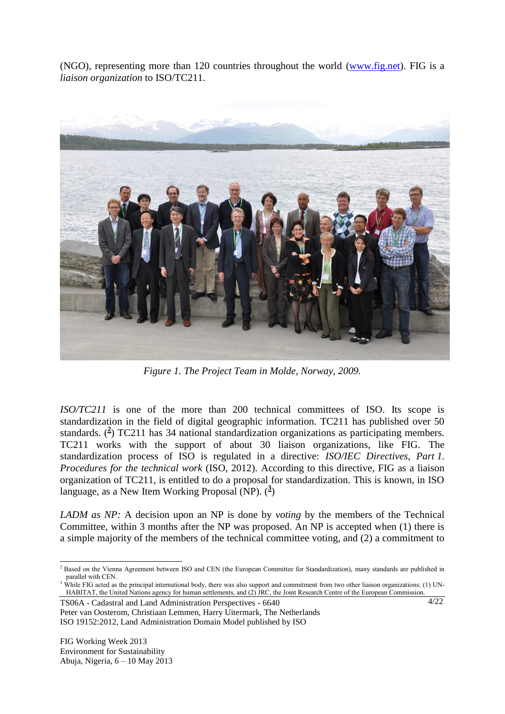(NGO), representing more than 120 countries throughout the world [\(www.fig.net\)](http://www.fig.net/). FIG is a *liaison organization* to ISO/TC211.



*Figure 1. The Project Team in Molde, Norway, 2009.*

*ISO/TC211* is one of the more than 200 technical committees of ISO. Its scope is standardization in the field of digital geographic information. TC211 has published over 50 standards.  $(^{2})$  TC211 has 34 national standardization organizations as participating members. TC211 works with the support of about 30 liaison organizations, like FIG. The standardization process of ISO is regulated in a directive: *ISO/IEC Directives, Part 1. Procedures for the technical work* (ISO, 2012). According to this directive, FIG as a liaison organization of TC211, is entitled to do a proposal for standardization. This is known, in ISO language, as a New Item Working Proposal (NP). (**<sup>3</sup>** )

*LADM as NP:* A decision upon an NP is done by *voting* by the members of the Technical Committee, within 3 months after the NP was proposed. An NP is accepted when (1) there is a simple majority of the members of the technical committee voting, and (2) a commitment to

TS06A - Cadastral and Land Administration Perspectives - 6640

Peter van Oosterom, Christiaan Lemmen, Harry Uitermark, The Netherlands ISO 19152:2012, Land Administration Domain Model published by ISO

 $\overline{\phantom{a}}$ <sup>2</sup> Based on the Vienna Agreement between ISO and CEN (the European Committee for Standardization), many standards are published in parallel with CEN.

 $3$  While FIG acted as the principal international body, there was also support and commitment from two other liaison organizations: (1) UN-HABITAT, the United Nations agency for human settlements, and (2) JRC, the Joint Research Centre of the European Commission.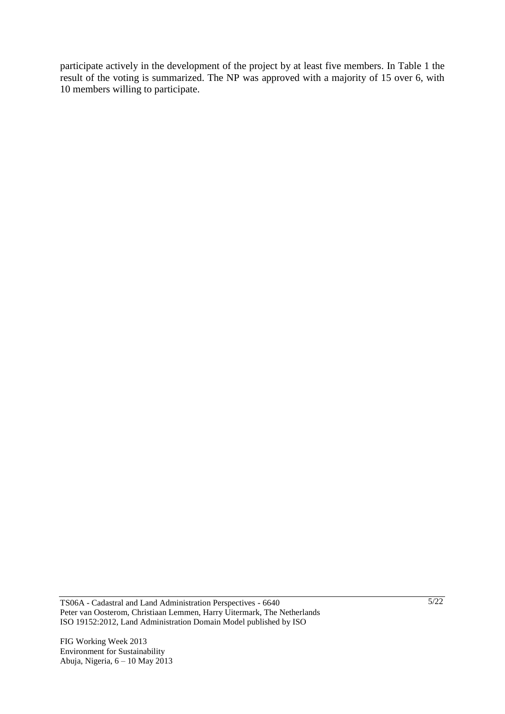participate actively in the development of the project by at least five members. In Table 1 the result of the voting is summarized. The NP was approved with a majority of 15 over 6, with 10 members willing to participate.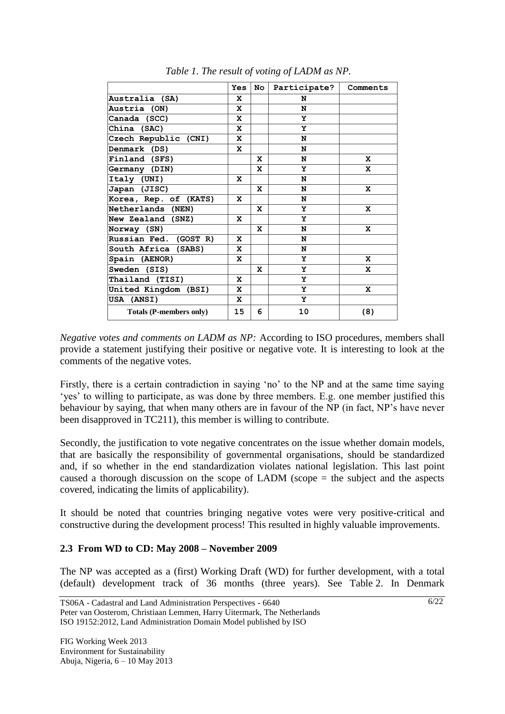|                                | <b>Yes</b> | No. | Participate? | Comments |
|--------------------------------|------------|-----|--------------|----------|
| Australia (SA)                 | x          |     | N            |          |
| Austria (ON)                   | x          |     | N            |          |
| Canada (SCC)                   | x          |     | Y            |          |
| China (SAC)                    | X          |     | Y            |          |
| Czech Republic (CNI)           | x          |     | N            |          |
| Denmark (DS)                   | x          |     | N            |          |
| Finland (SFS)                  |            | x   | N            | x        |
| Germany (DIN)                  |            | x   | Y            | x        |
| Italy (UNI)                    | x          |     | N            |          |
| Japan (JISC)                   |            | x   | N            | x        |
| Korea, Rep. of (KATS)          | x          |     | N            |          |
| Netherlands (NEN)              |            | x   | Y            | x        |
| New Zealand (SNZ)              | x          |     | Y            |          |
| Norway (SN)                    |            | x   | N            | x        |
| Russian Fed. (GOST R)          | x          |     | N            |          |
| South Africa (SABS)            | x          |     | N            |          |
| Spain (AENOR)                  | x          |     | Y            | x        |
| Sweden (SIS)                   |            | x   | Y            | X        |
| Thailand (TISI)                | x          |     | Y            |          |
| United Kingdom (BSI)           | x          |     | Y            | x        |
| USA (ANSI)                     | x          |     | Y            |          |
| <b>Totals (P-members only)</b> | 15         | 6   | 10           | (8)      |

*Table 1. The result of voting of LADM as NP.*

*Negative votes and comments on LADM as NP:* According to ISO procedures, members shall provide a statement justifying their positive or negative vote. It is interesting to look at the comments of the negative votes.

Firstly, there is a certain contradiction in saying 'no' to the NP and at the same time saying ‗yes' to willing to participate, as was done by three members. E.g. one member justified this behaviour by saying, that when many others are in favour of the NP (in fact, NP's have never been disapproved in TC211), this member is willing to contribute.

Secondly, the justification to vote negative concentrates on the issue whether domain models, that are basically the responsibility of governmental organisations, should be standardized and, if so whether in the end standardization violates national legislation. This last point caused a thorough discussion on the scope of LADM (scope = the subject and the aspects covered, indicating the limits of applicability).

It should be noted that countries bringing negative votes were very positive-critical and constructive during the development process! This resulted in highly valuable improvements.

# **2.3 From WD to CD: May 2008 – November 2009**

The NP was accepted as a (first) Working Draft (WD) for further development, with a total (default) development track of 36 months (three years). See Table 2. In Denmark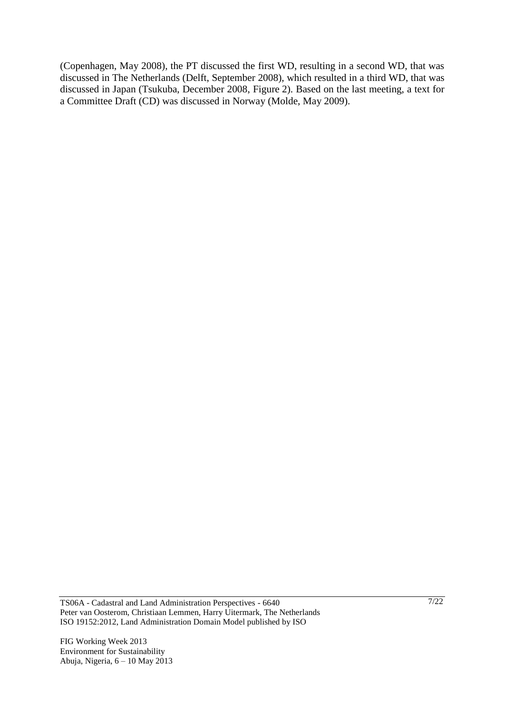(Copenhagen, May 2008), the PT discussed the first WD, resulting in a second WD, that was discussed in The Netherlands (Delft, September 2008), which resulted in a third WD, that was discussed in Japan (Tsukuba, December 2008, Figure 2). Based on the last meeting, a text for a Committee Draft (CD) was discussed in Norway (Molde, May 2009).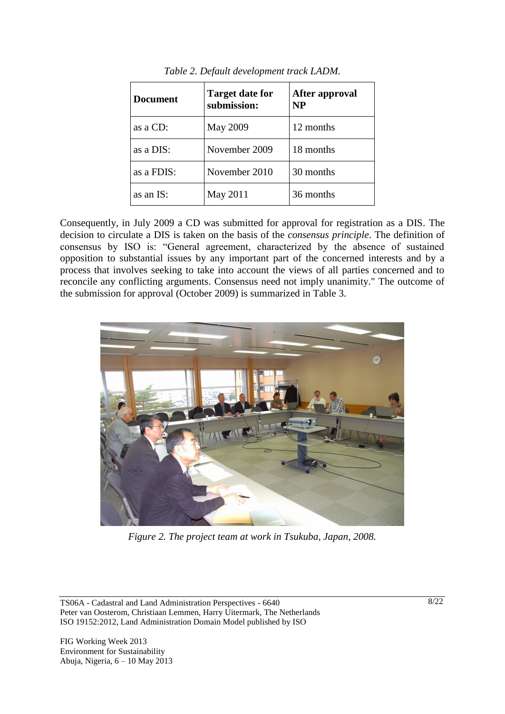| <b>Document</b> | <b>Target date for</b><br>submission: | After approval<br><b>NP</b> |
|-----------------|---------------------------------------|-----------------------------|
| as a CD:        | <b>May 2009</b>                       | 12 months                   |
| as a DIS:       | November 2009                         | 18 months                   |
| as a FDIS:      | November 2010                         | 30 months                   |
| as an IS:       | May 2011                              | 36 months                   |

*Table 2. Default development track LADM.*

Consequently, in July 2009 a CD was submitted for approval for registration as a DIS. The decision to circulate a DIS is taken on the basis of the *consensus principle*. The definition of consensus by ISO is: "General agreement, characterized by the absence of sustained opposition to substantial issues by any important part of the concerned interests and by a process that involves seeking to take into account the views of all parties concerned and to reconcile any conflicting arguments. Consensus need not imply unanimity." The outcome of the submission for approval (October 2009) is summarized in Table 3.



*Figure 2. The project team at work in Tsukuba, Japan, 2008.*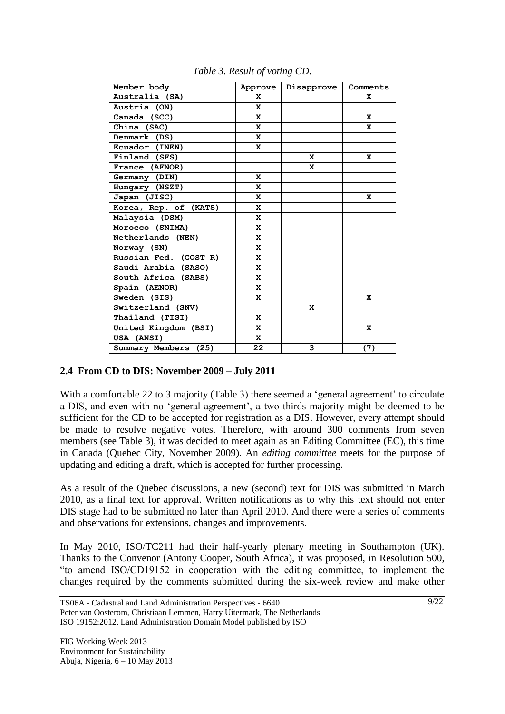| Member body           | Approve | Disapprove | Comments     |
|-----------------------|---------|------------|--------------|
| Australia (SA)        | x       |            | $\mathbf{x}$ |
| Austria (ON)          | X       |            |              |
| Canada (SCC)          | x       |            | X            |
| China (SAC)           | x       |            | X            |
| Denmark (DS)          | x       |            |              |
| Ecuador (INEN)        | x       |            |              |
| Finland (SFS)         |         | x          | X            |
| France (AFNOR)        |         | x          |              |
| Germany (DIN)         | X       |            |              |
| Hungary (NSZT)        | x       |            |              |
| Japan (JISC)          | x       |            | X            |
| Korea, Rep. of (KATS) | x       |            |              |
| Malaysia (DSM)        | x       |            |              |
| Morocco (SNIMA)       | X       |            |              |
| Netherlands (NEN)     | x       |            |              |
| Norway (SN)           | x       |            |              |
| Russian Fed. (GOST R) | x       |            |              |
| Saudi Arabia (SASO)   | x       |            |              |
| South Africa (SABS)   | x       |            |              |
| Spain (AENOR)         | X       |            |              |
| Sweden (SIS)          | x       |            | x            |
| Switzerland (SNV)     |         | x          |              |
| Thailand (TISI)       | X       |            |              |
| United Kingdom (BSI)  | x       |            | X            |
| USA (ANSI)            | x       |            |              |
| Summary Members (25)  | 22      | 3          | (7)          |

*Table 3. Result of voting CD.*

# **2.4 From CD to DIS: November 2009 – July 2011**

With a comfortable 22 to 3 majority (Table 3) there seemed a 'general agreement' to circulate a DIS, and even with no 'general agreement', a two-thirds majority might be deemed to be sufficient for the CD to be accepted for registration as a DIS. However, every attempt should be made to resolve negative votes. Therefore, with around 300 comments from seven members (see Table 3), it was decided to meet again as an Editing Committee (EC), this time in Canada (Quebec City, November 2009). An *editing committee* meets for the purpose of updating and editing a draft, which is accepted for further processing.

As a result of the Quebec discussions, a new (second) text for DIS was submitted in March 2010, as a final text for approval. Written notifications as to why this text should not enter DIS stage had to be submitted no later than April 2010. And there were a series of comments and observations for extensions, changes and improvements.

In May 2010, ISO/TC211 had their half-yearly plenary meeting in Southampton (UK). Thanks to the Convenor (Antony Cooper, South Africa), it was proposed, in Resolution 500, ―to amend ISO/CD19152 in cooperation with the editing committee, to implement the changes required by the comments submitted during the six-week review and make other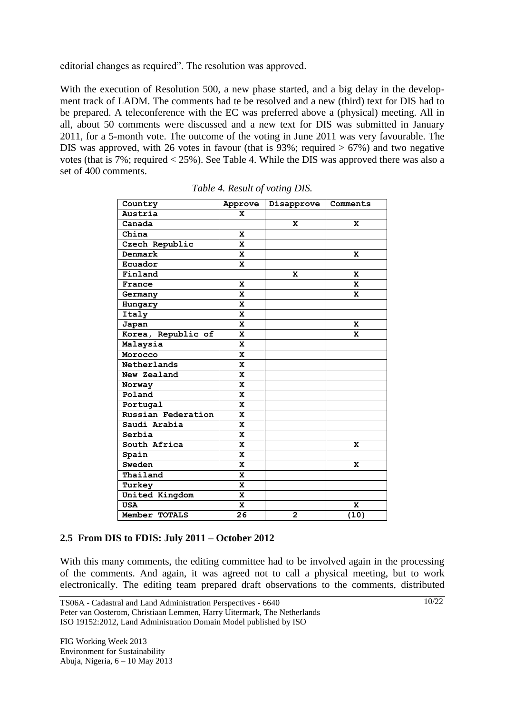editorial changes as required". The resolution was approved.

With the execution of Resolution 500, a new phase started, and a big delay in the development track of LADM. The comments had te be resolved and a new (third) text for DIS had to be prepared. A teleconference with the EC was preferred above a (physical) meeting. All in all, about 50 comments were discussed and a new text for DIS was submitted in January 2011, for a 5-month vote. The outcome of the voting in June 2011 was very favourable. The DIS was approved, with 26 votes in favour (that is  $93\%$ ; required  $> 67\%$ ) and two negative votes (that is 7%; required < 25%). See Table 4. While the DIS was approved there was also a set of 400 comments.

| Country            | Approve | Disapprove     | Comments |
|--------------------|---------|----------------|----------|
| Austria            | X       |                |          |
| Canada             |         | X              | X        |
| China              | X       |                |          |
| Czech Republic     | X       |                |          |
| Denmark            | x       |                | X        |
| Ecuador            | x       |                |          |
| Finland            |         | X              | X        |
| France             | X       |                | X        |
| Germany            | X       |                | X        |
| Hungary            | X       |                |          |
| Italy              | X       |                |          |
| Japan              | x       |                | X        |
| Korea, Republic of | X       |                | X        |
| Malaysia           | X       |                |          |
| Morocco            | x       |                |          |
| Netherlands        | X       |                |          |
| New Zealand        | X       |                |          |
| Norway             | x       |                |          |
| Poland             | X       |                |          |
| Portugal           | x       |                |          |
| Russian Federation | X       |                |          |
| Saudi Arabia       | X       |                |          |
| Serbia             | X       |                |          |
| South Africa       | x       |                | X        |
| Spain              | X       |                |          |
| Sweden             | X       |                | X        |
| Thailand           | X       |                |          |
| Turkey             | X       |                |          |
| United Kingdom     | X       |                |          |
| <b>USA</b>         | X       |                | X        |
| Member TOTALS      | 26      | $\overline{2}$ | (10)     |

|  | Table 4. Result of voting DIS. |  |
|--|--------------------------------|--|
|  |                                |  |

# **2.5 From DIS to FDIS: July 2011 – October 2012**

With this many comments, the editing committee had to be involved again in the processing of the comments. And again, it was agreed not to call a physical meeting, but to work electronically. The editing team prepared draft observations to the comments, distributed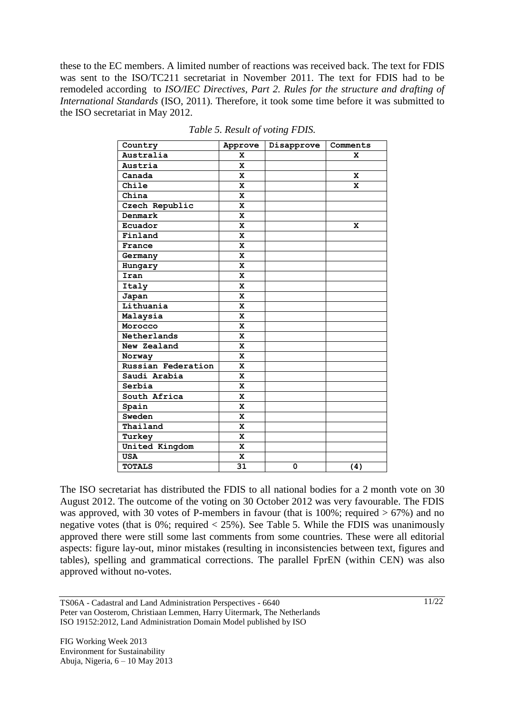these to the EC members. A limited number of reactions was received back. The text for FDIS was sent to the ISO/TC211 secretariat in November 2011. The text for FDIS had to be remodeled according to *ISO/IEC Directives, Part 2. Rules for the structure and drafting of International Standards* (ISO, 2011). Therefore, it took some time before it was submitted to the ISO secretariat in May 2012.

| Country            | Approve     | Disapprove | Comments |
|--------------------|-------------|------------|----------|
| Australia          | X           |            | X        |
| Austria            | x           |            |          |
| Canada             | X           |            | X        |
| Chile              | X           |            | X        |
| China              | X           |            |          |
| Czech Republic     | X           |            |          |
| Denmark            | X           |            |          |
| Ecuador            | X           |            | X        |
| Finland            | x           |            |          |
| France             | x           |            |          |
| Germany            | X           |            |          |
| Hungary            | X           |            |          |
| Iran               | x           |            |          |
| Italy              | x           |            |          |
| Japan              | X           |            |          |
| Lithuania          | X           |            |          |
| Malaysia           | X           |            |          |
| Morocco            | x           |            |          |
| Netherlands        | X           |            |          |
| New Zealand        | x           |            |          |
| Norway             | x           |            |          |
| Russian Federation | X           |            |          |
| Saudi Arabia       | X           |            |          |
| Serbia             | X           |            |          |
| South Africa       | $\mathbf x$ |            |          |
| Spain              | X           |            |          |
| Sweden             | X           |            |          |
| Thailand           | x           |            |          |
| Turkey             | X           |            |          |
| United Kingdom     | X           |            |          |
| <b>USA</b>         | x           |            |          |
| <b>TOTALS</b>      | 31          | 0          | (4)      |

*Table 5. Result of voting FDIS.*

The ISO secretariat has distributed the FDIS to all national bodies for a 2 month vote on 30 August 2012. The outcome of the voting on 30 October 2012 was very favourable. The FDIS was approved, with 30 votes of P-members in favour (that is  $100\%$ ; required  $> 67\%$ ) and no negative votes (that is  $0\%$ ; required  $<$  25%). See Table 5. While the FDIS was unanimously approved there were still some last comments from some countries. These were all editorial aspects: figure lay-out, minor mistakes (resulting in inconsistencies between text, figures and tables), spelling and grammatical corrections. The parallel FprEN (within CEN) was also approved without no-votes.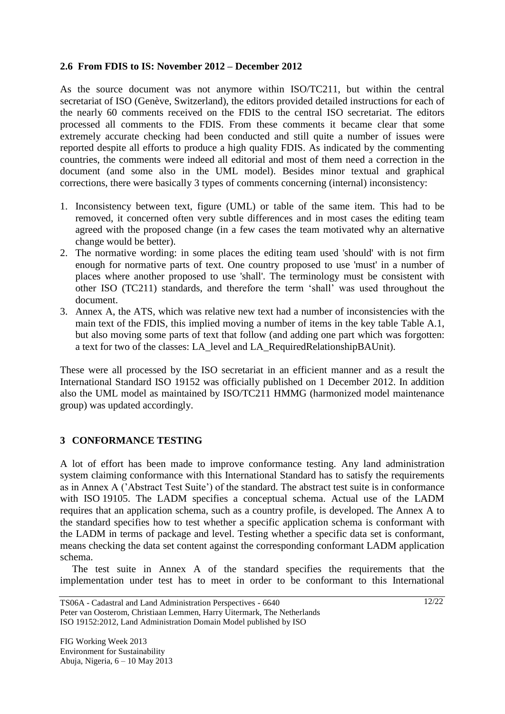### **2.6 From FDIS to IS: November 2012 – December 2012**

As the source document was not anymore within ISO/TC211, but within the central secretariat of ISO (Genève, Switzerland), the editors provided detailed instructions for each of the nearly 60 comments received on the FDIS to the central ISO secretariat. The editors processed all comments to the FDIS. From these comments it became clear that some extremely accurate checking had been conducted and still quite a number of issues were reported despite all efforts to produce a high quality FDIS. As indicated by the commenting countries, the comments were indeed all editorial and most of them need a correction in the document (and some also in the UML model). Besides minor textual and graphical corrections, there were basically 3 types of comments concerning (internal) inconsistency:

- 1. Inconsistency between text, figure (UML) or table of the same item. This had to be removed, it concerned often very subtle differences and in most cases the editing team agreed with the proposed change (in a few cases the team motivated why an alternative change would be better).
- 2. The normative wording: in some places the editing team used 'should' with is not firm enough for normative parts of text. One country proposed to use 'must' in a number of places where another proposed to use 'shall'. The terminology must be consistent with other ISO (TC211) standards, and therefore the term 'shall' was used throughout the document.
- 3. Annex A, the ATS, which was relative new text had a number of inconsistencies with the main text of the FDIS, this implied moving a number of items in the key table Table A.1, but also moving some parts of text that follow (and adding one part which was forgotten: a text for two of the classes: LA\_level and LA\_RequiredRelationshipBAUnit).

These were all processed by the ISO secretariat in an efficient manner and as a result the International Standard ISO 19152 was officially published on 1 December 2012. In addition also the UML model as maintained by ISO/TC211 HMMG (harmonized model maintenance group) was updated accordingly.

#### **3 CONFORMANCE TESTING**

A lot of effort has been made to improve conformance testing. Any land administration system claiming conformance with this International Standard has to satisfy the requirements as in Annex A ('Abstract Test Suite') of the standard. The abstract test suite is in conformance with ISO 19105. The LADM specifies a conceptual schema. Actual use of the LADM requires that an application schema, such as a country profile, is developed. The Annex A to the standard specifies how to test whether a specific application schema is conformant with the LADM in terms of package and level. Testing whether a specific data set is conformant, means checking the data set content against the corresponding conformant LADM application schema.

The test suite in Annex A of the standard specifies the requirements that the implementation under test has to meet in order to be conformant to this International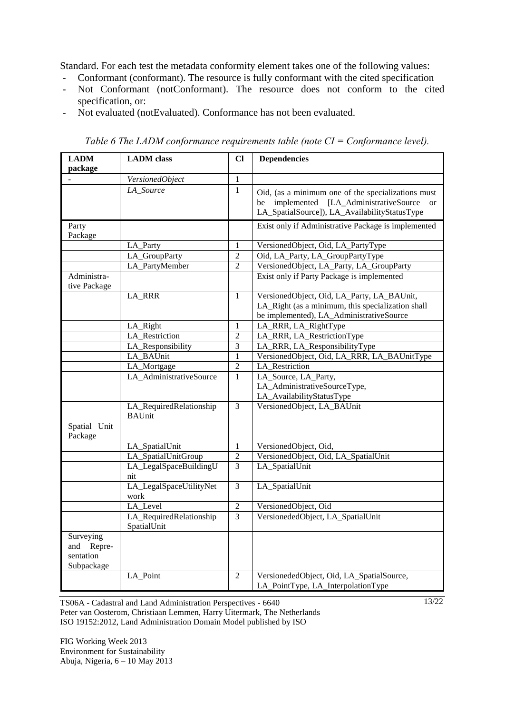Standard. For each test the metadata conformity element takes one of the following values:

- Conformant (conformant). The resource is fully conformant with the cited specification
- Not Conformant (notConformant). The resource does not conform to the cited specification, or:
- Not evaluated (notEvaluated). Conformance has not been evaluated.

| <b>LADM</b>                                           | <b>LADM</b> class                        | $CI$           | <b>Dependencies</b>                                                                                                                                         |
|-------------------------------------------------------|------------------------------------------|----------------|-------------------------------------------------------------------------------------------------------------------------------------------------------------|
| package                                               |                                          |                |                                                                                                                                                             |
|                                                       | <b>VersionedObject</b>                   | $\mathbf{1}$   |                                                                                                                                                             |
|                                                       | LA_Source                                | $\mathbf{1}$   | Oid, (as a minimum one of the specializations must<br>be implemented [LA_AdministrativeSource<br><b>or</b><br>LA_SpatialSource]), LA_AvailabilityStatusType |
| Party<br>Package                                      |                                          |                | Exist only if Administrative Package is implemented                                                                                                         |
|                                                       | LA_Party                                 | 1              | VersionedObject, Oid, LA_PartyType                                                                                                                          |
|                                                       | LA_GroupParty                            | $\overline{c}$ | Oid, LA_Party, LA_GroupPartyType                                                                                                                            |
|                                                       | LA_PartyMember                           | $\overline{2}$ | VersionedObject, LA_Party, LA_GroupParty                                                                                                                    |
| Administra-<br>tive Package                           |                                          |                | Exist only if Party Package is implemented                                                                                                                  |
|                                                       | <b>LA_RRR</b>                            | $\mathbf{1}$   | VersionedObject, Oid, LA_Party, LA_BAUnit,<br>LA_Right (as a minimum, this specialization shall<br>be implemented), LA_AdministrativeSource                 |
|                                                       | LA_Right                                 | $\mathbf{1}$   | LA_RRR, LA_RightType                                                                                                                                        |
|                                                       | <b>LA</b> Restriction                    | $\overline{c}$ | LA_RRR, LA_RestrictionType                                                                                                                                  |
|                                                       | LA_Responsibility                        | 3              | LA_RRR, LA_ResponsibilityType                                                                                                                               |
|                                                       | LA BAUnit                                | $\mathbf{1}$   | VersionedObject, Oid, LA_RRR, LA_BAUnitType                                                                                                                 |
|                                                       | LA_Mortgage                              | $\overline{2}$ | <b>LA</b> Restriction                                                                                                                                       |
|                                                       | LA_AdministrativeSource                  | $\mathbf{1}$   | LA_Source, LA_Party,<br>LA_AdministrativeSourceType,<br>LA_AvailabilityStatusType                                                                           |
|                                                       | LA_RequiredRelationship<br><b>BAUnit</b> | $\overline{3}$ | VersionedObject, LA_BAUnit                                                                                                                                  |
| Spatial Unit<br>Package                               |                                          |                |                                                                                                                                                             |
|                                                       | LA_SpatialUnit                           | $\mathbf{1}$   | VersionedObject, Oid,                                                                                                                                       |
|                                                       | LA_SpatialUnitGroup                      | $\overline{2}$ | VersionedObject, Oid, LA_SpatialUnit                                                                                                                        |
|                                                       | LA_LegalSpaceBuildingU<br>nit            | $\overline{3}$ | LA_SpatialUnit                                                                                                                                              |
|                                                       | LA_LegalSpaceUtilityNet<br>work          | $\overline{3}$ | LA_SpatialUnit                                                                                                                                              |
|                                                       | LA_Level                                 | $\overline{c}$ | VersionedObject, Oid                                                                                                                                        |
|                                                       | LA_RequiredRelationship<br>SpatialUnit   | 3              | VersionededObject, LA_SpatialUnit                                                                                                                           |
| Surveying<br>Repre-<br>and<br>sentation<br>Subpackage |                                          |                |                                                                                                                                                             |
|                                                       | LA_Point                                 | $\overline{2}$ | VersionededObject, Oid, LA_SpatialSource,<br>LA_PointType, LA_InterpolationType                                                                             |

*Table 6 The LADM conformance requirements table (note CI = Conformance level).*

TS06A - Cadastral and Land Administration Perspectives - 6640 Peter van Oosterom, Christiaan Lemmen, Harry Uitermark, The Netherlands ISO 19152:2012, Land Administration Domain Model published by ISO

FIG Working Week 2013 Environment for Sustainability Abuja, Nigeria, 6 – 10 May 2013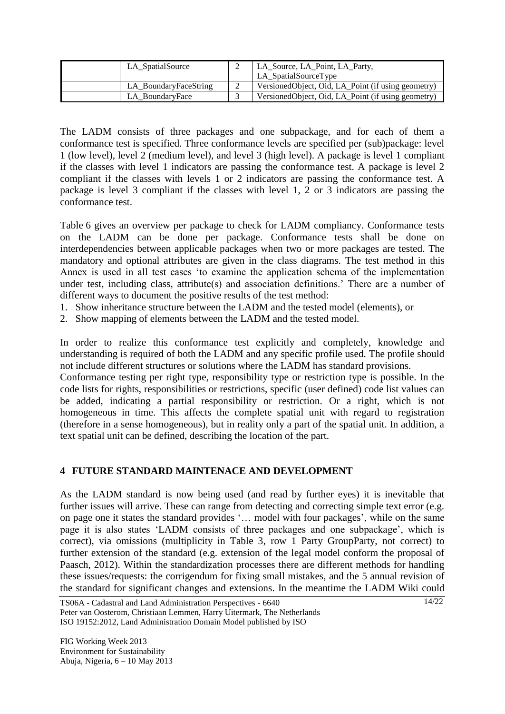| LA_SpatialSource      | LA_Source, LA_Point, LA_Party,                      |
|-----------------------|-----------------------------------------------------|
|                       | LA SpatialSourceType                                |
| LA BoundaryFaceString | Versioned Object, Oid, LA_Point (if using geometry) |
| LA BoundaryFace       | VersionedObject, Oid, LA_Point (if using geometry)  |

The LADM consists of three packages and one subpackage, and for each of them a conformance test is specified. Three conformance levels are specified per (sub)package: level 1 (low level), level 2 (medium level), and level 3 (high level). A package is level 1 compliant if the classes with level 1 indicators are passing the conformance test. A package is level 2 compliant if the classes with levels 1 or 2 indicators are passing the conformance test. A package is level 3 compliant if the classes with level 1, 2 or 3 indicators are passing the conformance test.

Table 6 gives an overview per package to check for LADM compliancy. Conformance tests on the LADM can be done per package. Conformance tests shall be done on interdependencies between applicable packages when two or more packages are tested. The mandatory and optional attributes are given in the class diagrams. The test method in this Annex is used in all test cases 'to examine the application schema of the implementation under test, including class, attribute(s) and association definitions.' There are a number of different ways to document the positive results of the test method:

- 1. Show inheritance structure between the LADM and the tested model (elements), or
- 2. Show mapping of elements between the LADM and the tested model.

In order to realize this conformance test explicitly and completely, knowledge and understanding is required of both the LADM and any specific profile used. The profile should not include different structures or solutions where the LADM has standard provisions.

Conformance testing per right type, responsibility type or restriction type is possible. In the code lists for rights, responsibilities or restrictions, specific (user defined) code list values can be added, indicating a partial responsibility or restriction. Or a right, which is not homogeneous in time. This affects the complete spatial unit with regard to registration (therefore in a sense homogeneous), but in reality only a part of the spatial unit. In addition, a text spatial unit can be defined, describing the location of the part.

# **4 FUTURE STANDARD MAINTENACE AND DEVELOPMENT**

As the LADM standard is now being used (and read by further eyes) it is inevitable that further issues will arrive. These can range from detecting and correcting simple text error (e.g. on page one it states the standard provides ‗… model with four packages', while on the same page it is also states ‗LADM consists of three packages and one subpackage', which is correct), via omissions (multiplicity in Table 3, row 1 Party GroupParty, not correct) to further extension of the standard (e.g. extension of the legal model conform the proposal of Paasch, 2012). Within the standardization processes there are different methods for handling these issues/requests: the corrigendum for fixing small mistakes, and the 5 annual revision of the standard for significant changes and extensions. In the meantime the LADM Wiki could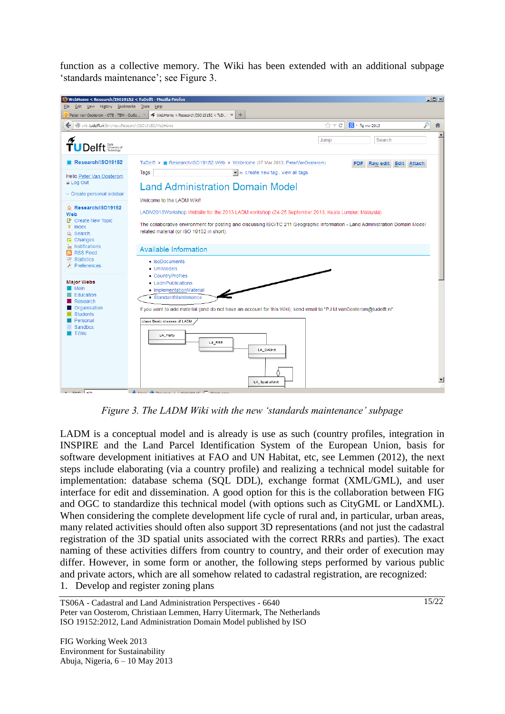function as a collective memory. The Wiki has been extended with an additional subpage ‗standards maintenance'; see Figure 3.



*Figure 3. The LADM Wiki with the new 'standards maintenance' subpage*

LADM is a conceptual model and is already is use as such (country profiles, integration in INSPIRE and the Land Parcel Identification System of the European Union, basis for software development initiatives at FAO and UN Habitat, etc, see Lemmen (2012), the next steps include elaborating (via a country profile) and realizing a technical model suitable for implementation: database schema (SQL DDL), exchange format (XML/GML), and user interface for edit and dissemination. A good option for this is the collaboration between FIG and OGC to standardize this technical model (with options such as CityGML or LandXML). When considering the complete development life cycle of rural and, in particular, urban areas, many related activities should often also support 3D representations (and not just the cadastral registration of the 3D spatial units associated with the correct RRRs and parties). The exact naming of these activities differs from country to country, and their order of execution may differ. However, in some form or another, the following steps performed by various public and private actors, which are all somehow related to cadastral registration, are recognized:

1. Develop and register zoning plans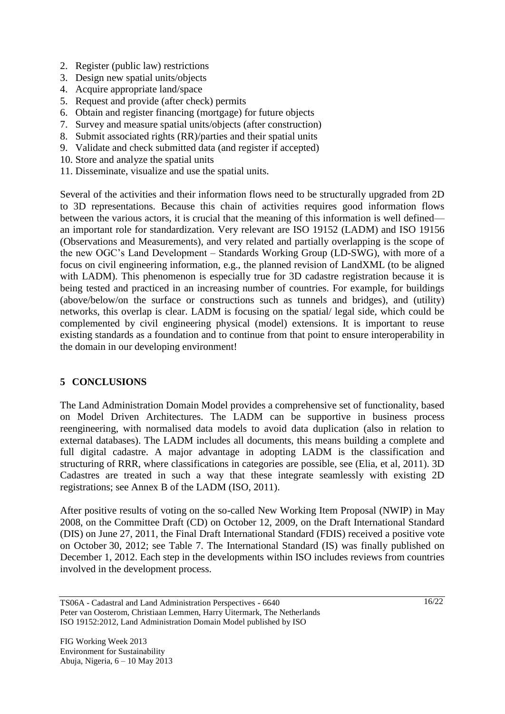- 2. Register (public law) restrictions
- 3. Design new spatial units/objects
- 4. Acquire appropriate land/space
- 5. Request and provide (after check) permits
- 6. Obtain and register financing (mortgage) for future objects
- 7. Survey and measure spatial units/objects (after construction)
- 8. Submit associated rights (RR)/parties and their spatial units
- 9. Validate and check submitted data (and register if accepted)
- 10. Store and analyze the spatial units
- 11. Disseminate, visualize and use the spatial units.

Several of the activities and their information flows need to be structurally upgraded from 2D to 3D representations. Because this chain of activities requires good information flows between the various actors, it is crucial that the meaning of this information is well defined an important role for standardization. Very relevant are ISO 19152 (LADM) and ISO 19156 (Observations and Measurements), and very related and partially overlapping is the scope of the new OGC's Land Development – Standards Working Group (LD-SWG), with more of a focus on civil engineering information, e.g., the planned revision of LandXML (to be aligned with LADM). This phenomenon is especially true for 3D cadastre registration because it is being tested and practiced in an increasing number of countries. For example, for buildings (above/below/on the surface or constructions such as tunnels and bridges), and (utility) networks, this overlap is clear. LADM is focusing on the spatial/ legal side, which could be complemented by civil engineering physical (model) extensions. It is important to reuse existing standards as a foundation and to continue from that point to ensure interoperability in the domain in our developing environment!

# **5 CONCLUSIONS**

The Land Administration Domain Model provides a comprehensive set of functionality, based on Model Driven Architectures. The LADM can be supportive in business process reengineering, with normalised data models to avoid data duplication (also in relation to external databases). The LADM includes all documents, this means building a complete and full digital cadastre. A major advantage in adopting LADM is the classification and structuring of RRR, where classifications in categories are possible, see (Elia, et al, 2011). 3D Cadastres are treated in such a way that these integrate seamlessly with existing 2D registrations; see Annex B of the LADM (ISO, 2011).

After positive results of voting on the so-called New Working Item Proposal (NWIP) in May 2008, on the Committee Draft (CD) on October 12, 2009, on the Draft International Standard (DIS) on June 27, 2011, the Final Draft International Standard (FDIS) received a positive vote on October 30, 2012; see Table 7. The International Standard (IS) was finally published on December 1, 2012. Each step in the developments within ISO includes reviews from countries involved in the development process.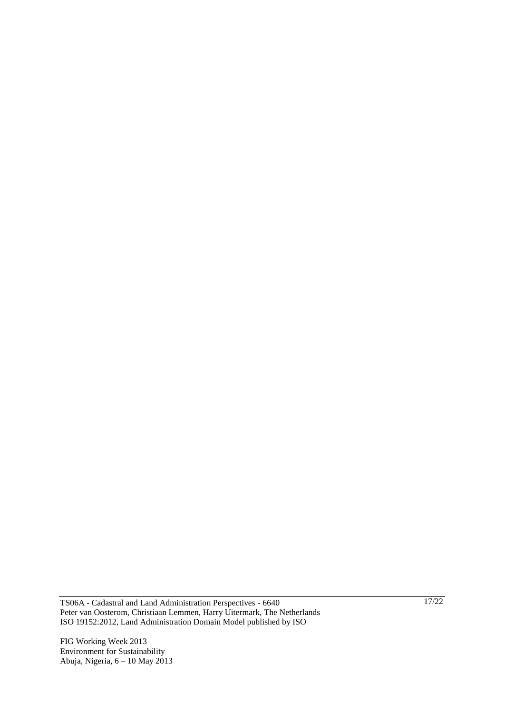TS06A - Cadastral and Land Administration Perspectives - 6640 Peter van Oosterom, Christiaan Lemmen, Harry Uitermark, The Netherlands ISO 19152:2012, Land Administration Domain Model published by ISO

FIG Working Week 2013 Environment for Sustainability Abuja, Nigeria, 6 – 10 May 2013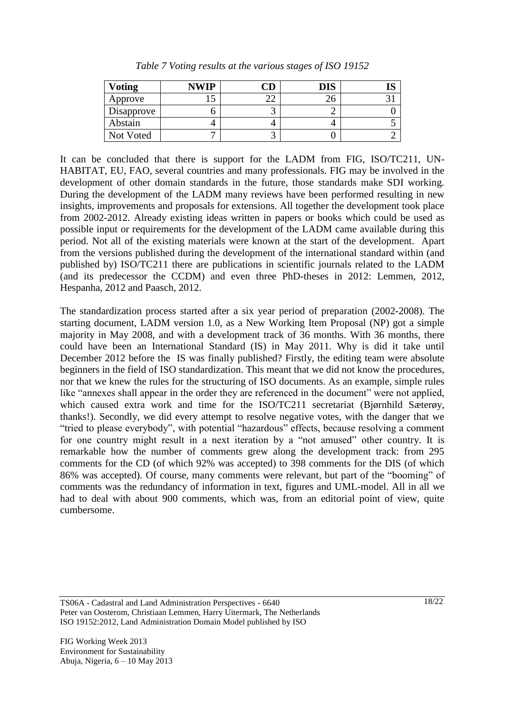| <b>Voting</b> | <b>NWIP</b> |   | DIS |  |
|---------------|-------------|---|-----|--|
| Approve       |             | ີ |     |  |
| Disapprove    |             |   |     |  |
| Abstain       |             |   |     |  |
| Not Voted     |             |   |     |  |

*Table 7 Voting results at the various stages of ISO 19152*

It can be concluded that there is support for the LADM from FIG, ISO/TC211, UN-HABITAT, EU, FAO, several countries and many professionals. FIG may be involved in the development of other domain standards in the future, those standards make SDI working. During the development of the LADM many reviews have been performed resulting in new insights, improvements and proposals for extensions. All together the development took place from 2002-2012. Already existing ideas written in papers or books which could be used as possible input or requirements for the development of the LADM came available during this period. Not all of the existing materials were known at the start of the development. Apart from the versions published during the development of the international standard within (and published by) ISO/TC211 there are publications in scientific journals related to the LADM (and its predecessor the CCDM) and even three PhD-theses in 2012: Lemmen, 2012, Hespanha, 2012 and Paasch, 2012.

The standardization process started after a six year period of preparation (2002-2008). The starting document, LADM version 1.0, as a New Working Item Proposal (NP) got a simple majority in May 2008, and with a development track of 36 months. With 36 months, there could have been an International Standard (IS) in May 2011. Why is did it take until December 2012 before the IS was finally published? Firstly, the editing team were absolute beginners in the field of ISO standardization. This meant that we did not know the procedures, nor that we knew the rules for the structuring of ISO documents. As an example, simple rules like "annexes shall appear in the order they are referenced in the document" were not applied, which caused extra work and time for the ISO/TC211 secretariat (Bjørnhild Sæterøy, thanks!). Secondly, we did every attempt to resolve negative votes, with the danger that we "tried to please everybody", with potential "hazardous" effects, because resolving a comment for one country might result in a next iteration by a "not amused" other country. It is remarkable how the number of comments grew along the development track: from 295 comments for the CD (of which 92% was accepted) to 398 comments for the DIS (of which 86% was accepted). Of course, many comments were relevant, but part of the "booming" of comments was the redundancy of information in text, figures and UML-model. All in all we had to deal with about 900 comments, which was, from an editorial point of view, quite cumbersome.

TS06A - Cadastral and Land Administration Perspectives - 6640 Peter van Oosterom, Christiaan Lemmen, Harry Uitermark, The Netherlands ISO 19152:2012, Land Administration Domain Model published by ISO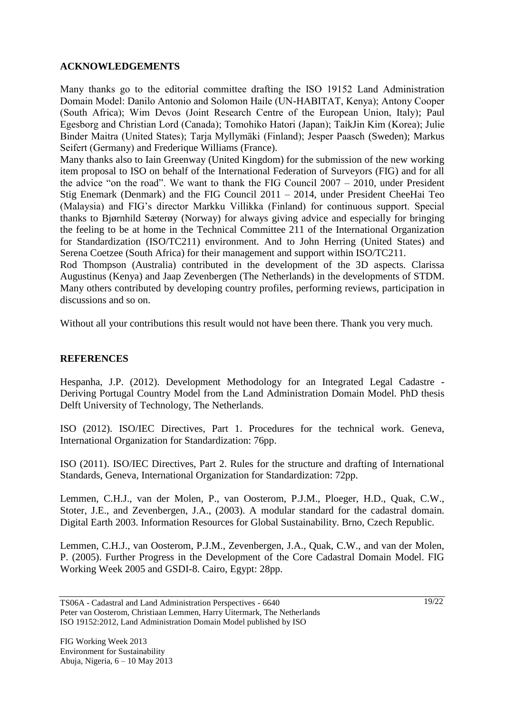## **ACKNOWLEDGEMENTS**

Many thanks go to the editorial committee drafting the ISO 19152 Land Administration Domain Model: Danilo Antonio and Solomon Haile (UN-HABITAT, Kenya); Antony Cooper (South Africa); Wim Devos (Joint Research Centre of the European Union, Italy); Paul Egesborg and Christian Lord (Canada); Tomohiko Hatori (Japan); TaikJin Kim (Korea); Julie Binder Maitra (United States); Tarja Myllymäki (Finland); Jesper Paasch (Sweden); Markus Seifert (Germany) and Frederique Williams (France).

Many thanks also to Iain Greenway (United Kingdom) for the submission of the new working item proposal to ISO on behalf of the International Federation of Surveyors (FIG) and for all the advice "on the road". We want to thank the FIG Council  $2007 - 2010$ , under President Stig Enemark (Denmark) and the FIG Council 2011 – 2014, under President CheeHai Teo (Malaysia) and FIG's director Markku Villikka (Finland) for continuous support. Special thanks to Bjørnhild Sæterøy (Norway) for always giving advice and especially for bringing the feeling to be at home in the Technical Committee 211 of the International Organization for Standardization (ISO/TC211) environment. And to John Herring (United States) and Serena Coetzee (South Africa) for their management and support within ISO/TC211.

Rod Thompson (Australia) contributed in the development of the 3D aspects. Clarissa Augustinus (Kenya) and Jaap Zevenbergen (The Netherlands) in the developments of STDM. Many others contributed by developing country profiles, performing reviews, participation in discussions and so on.

Without all your contributions this result would not have been there. Thank you very much.

# **REFERENCES**

Hespanha, J.P. (2012). Development Methodology for an Integrated Legal Cadastre - Deriving Portugal Country Model from the Land Administration Domain Model. PhD thesis Delft University of Technology, The Netherlands.

ISO (2012). ISO/IEC Directives, Part 1. Procedures for the technical work. Geneva, International Organization for Standardization: 76pp.

ISO (2011). ISO/IEC Directives, Part 2. Rules for the structure and drafting of International Standards, Geneva, International Organization for Standardization: 72pp.

Lemmen, C.H.J., van der Molen, P., van Oosterom, P.J.M., Ploeger, H.D., Quak, C.W., Stoter, J.E., and Zevenbergen, J.A., (2003). A modular standard for the cadastral domain. Digital Earth 2003. Information Resources for Global Sustainability. Brno, Czech Republic.

Lemmen, C.H.J., van Oosterom, P.J.M., Zevenbergen, J.A., Quak, C.W., and van der Molen, P. (2005). Further Progress in the Development of the Core Cadastral Domain Model. FIG Working Week 2005 and GSDI-8. Cairo, Egypt: 28pp.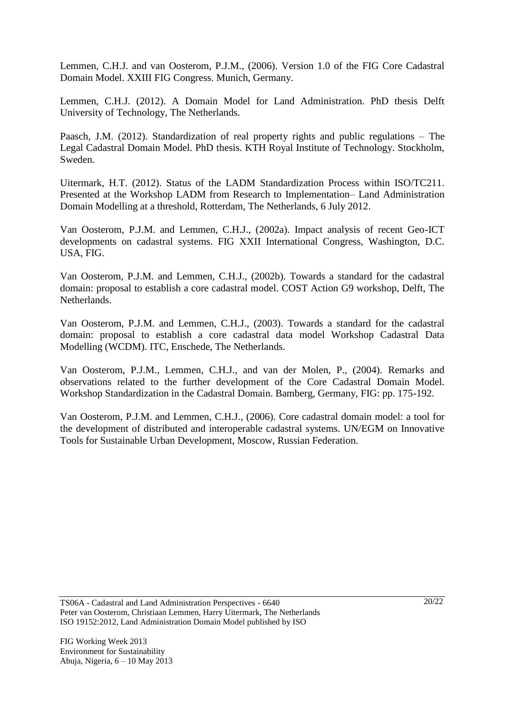Lemmen, C.H.J. and van Oosterom, P.J.M., (2006). Version 1.0 of the FIG Core Cadastral Domain Model. XXIII FIG Congress. Munich, Germany.

Lemmen, C.H.J. (2012). A Domain Model for Land Administration. PhD thesis Delft University of Technology, The Netherlands.

Paasch, J.M. (2012). Standardization of real property rights and public regulations – The Legal Cadastral Domain Model. PhD thesis. KTH Royal Institute of Technology. Stockholm, Sweden.

Uitermark, H.T. (2012). Status of the LADM Standardization Process within ISO/TC211. Presented at the Workshop LADM from Research to Implementation– Land Administration Domain Modelling at a threshold, Rotterdam, The Netherlands, 6 July 2012.

Van Oosterom, P.J.M. and Lemmen, C.H.J., (2002a). Impact analysis of recent Geo-ICT developments on cadastral systems. FIG XXII International Congress, Washington, D.C. USA, FIG.

Van Oosterom, P.J.M. and Lemmen, C.H.J., (2002b). Towards a standard for the cadastral domain: proposal to establish a core cadastral model. COST Action G9 workshop, Delft, The Netherlands.

Van Oosterom, P.J.M. and Lemmen, C.H.J., (2003). Towards a standard for the cadastral domain: proposal to establish a core cadastral data model Workshop Cadastral Data Modelling (WCDM). ITC, Enschede, The Netherlands.

Van Oosterom, P.J.M., Lemmen, C.H.J., and van der Molen, P., (2004). Remarks and observations related to the further development of the Core Cadastral Domain Model. Workshop Standardization in the Cadastral Domain. Bamberg, Germany, FIG: pp. 175-192.

Van Oosterom, P.J.M. and Lemmen, C.H.J., (2006). Core cadastral domain model: a tool for the development of distributed and interoperable cadastral systems. UN/EGM on Innovative Tools for Sustainable Urban Development, Moscow, Russian Federation.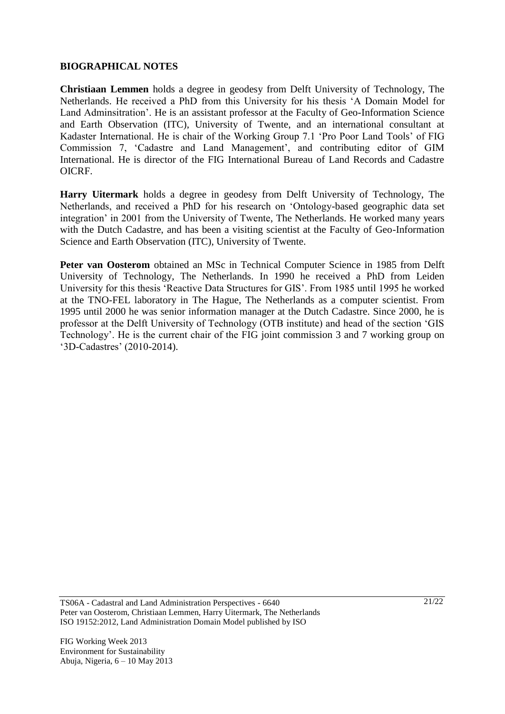# **BIOGRAPHICAL NOTES**

**Christiaan Lemmen** holds a degree in geodesy from Delft University of Technology, The Netherlands. He received a PhD from this University for his thesis ‗A Domain Model for Land Adminsitration'. He is an assistant professor at the Faculty of Geo-Information Science and Earth Observation (ITC), University of Twente, and an international consultant at Kadaster International. He is chair of the Working Group 7.1 ‗Pro Poor Land Tools' of FIG Commission 7, ‗Cadastre and Land Management', and contributing editor of GIM International. He is director of the FIG International Bureau of Land Records and Cadastre OICRF.

**Harry Uitermark** holds a degree in geodesy from Delft University of Technology, The Netherlands, and received a PhD for his research on ‗Ontology-based geographic data set integration' in 2001 from the University of Twente, The Netherlands. He worked many years with the Dutch Cadastre, and has been a visiting scientist at the Faculty of Geo-Information Science and Earth Observation (ITC), University of Twente.

**Peter van Oosterom** obtained an MSc in Technical Computer Science in 1985 from Delft University of Technology, The Netherlands. In 1990 he received a PhD from Leiden University for this thesis ‗Reactive Data Structures for GIS'. From 1985 until 1995 he worked at the TNO-FEL laboratory in The Hague, The Netherlands as a computer scientist. From 1995 until 2000 he was senior information manager at the Dutch Cadastre. Since 2000, he is professor at the Delft University of Technology (OTB institute) and head of the section 'GIS Technology'. He is the current chair of the FIG joint commission 3 and 7 working group on ‗3D-Cadastres' (2010-2014).